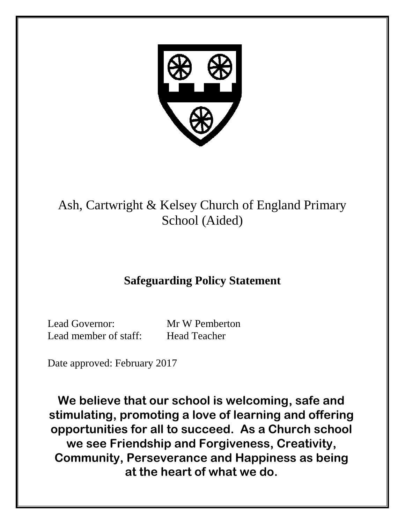

# Ash, Cartwright & Kelsey Church of England Primary School (Aided)

# **Safeguarding Policy Statement**

Lead Governor: Mr W Pemberton Lead member of staff: Head Teacher

Date approved: February 2017

**We believe that our school is welcoming, safe and stimulating, promoting a love of learning and offering opportunities for all to succeed. As a Church school we see Friendship and Forgiveness, Creativity, Community, Perseverance and Happiness as being at the heart of what we do.**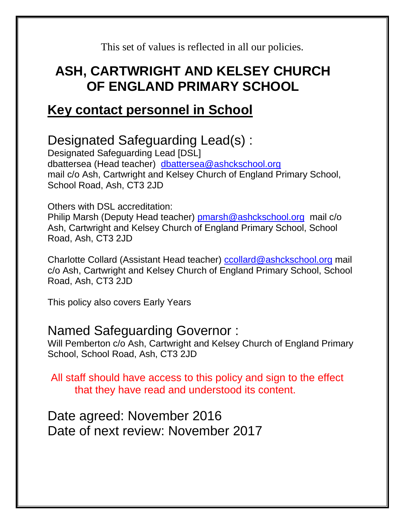This set of values is reflected in all our policies.

# **ASH, CARTWRIGHT AND KELSEY CHURCH OF ENGLAND PRIMARY SCHOOL**

# **Key contact personnel in School**

# Designated Safeguarding Lead(s) :

Designated Safeguarding Lead [DSL] dbattersea (Head teacher) [dbattersea@ashckschool.org](mailto:dbattersea@ashckschool.org) mail c/o Ash, Cartwright and Kelsey Church of England Primary School, School Road, Ash, CT3 2JD

## Others with DSL accreditation:

Philip Marsh (Deputy Head teacher) [pmarsh@ashckschool.org](mailto:pmarsh@ashckschool.org) mail c/o Ash, Cartwright and Kelsey Church of England Primary School, School Road, Ash, CT3 2JD

Charlotte Collard (Assistant Head teacher) [ccollard@ashckschool.org](mailto:ccollard@ashckschool.org) mail c/o Ash, Cartwright and Kelsey Church of England Primary School, School Road, Ash, CT3 2JD

This policy also covers Early Years

# Named Safeguarding Governor :

Will Pemberton c/o Ash, Cartwright and Kelsey Church of England Primary School, School Road, Ash, CT3 2JD

All staff should have access to this policy and sign to the effect that they have read and understood its content.

Date agreed: November 2016 Date of next review: November 2017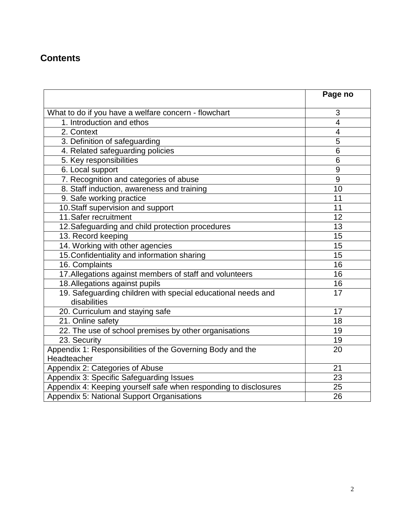## **Contents**

|                                                                              | Page no        |
|------------------------------------------------------------------------------|----------------|
| What to do if you have a welfare concern - flowchart                         | 3              |
| 1. Introduction and ethos                                                    | $\overline{4}$ |
| 2. Context                                                                   | 4              |
| 3. Definition of safeguarding                                                | 5              |
| 4. Related safeguarding policies                                             | 6              |
| 5. Key responsibilities                                                      | 6              |
| 6. Local support                                                             | 9              |
| 7. Recognition and categories of abuse                                       | 9              |
| 8. Staff induction, awareness and training                                   | 10             |
| 9. Safe working practice                                                     | 11             |
| 10. Staff supervision and support                                            | 11             |
| 11. Safer recruitment                                                        | 12             |
| 12. Safeguarding and child protection procedures                             | 13             |
| 13. Record keeping                                                           | 15             |
| 14. Working with other agencies                                              | 15             |
| 15. Confidentiality and information sharing                                  | 15             |
| 16. Complaints                                                               | 16             |
| 17. Allegations against members of staff and volunteers                      | 16             |
| 18. Allegations against pupils                                               | 16             |
| 19. Safeguarding children with special educational needs and<br>disabilities | 17             |
| 20. Curriculum and staying safe                                              | 17             |
| 21. Online safety                                                            | 18             |
| 22. The use of school premises by other organisations                        | 19             |
| 23. Security                                                                 | 19             |
| Appendix 1: Responsibilities of the Governing Body and the<br>Headteacher    | 20             |
| Appendix 2: Categories of Abuse                                              | 21             |
| Appendix 3: Specific Safeguarding Issues                                     | 23             |
| Appendix 4: Keeping yourself safe when responding to disclosures             | 25             |
| Appendix 5: National Support Organisations                                   | 26             |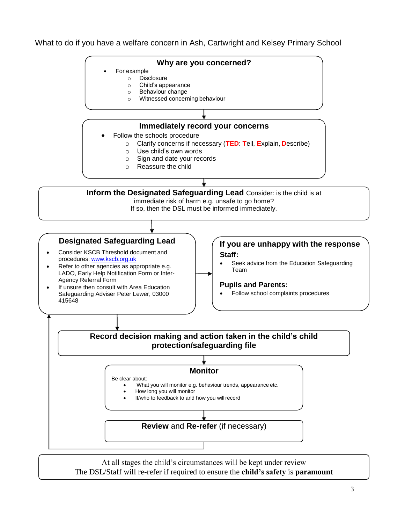What to do if you have a welfare concern in Ash, Cartwright and Kelsey Primary School



At all stages the child's circumstances will be kept under review The DSL/Staff will re-refer if required to ensure the **child's safety** is **paramount**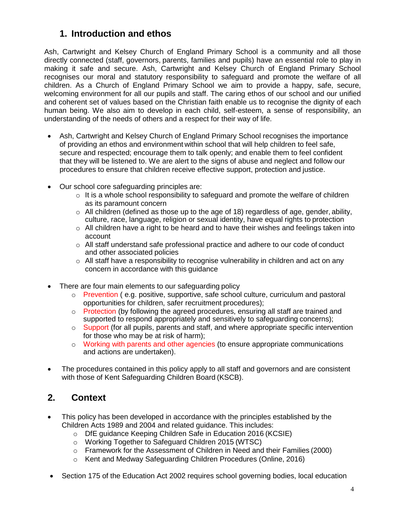## **1. Introduction and ethos**

Ash, Cartwright and Kelsey Church of England Primary School is a community and all those directly connected (staff, governors, parents, families and pupils) have an essential role to play in making it safe and secure. Ash, Cartwright and Kelsey Church of England Primary School recognises our moral and statutory responsibility to safeguard and promote the welfare of all children. As a Church of England Primary School we aim to provide a happy, safe, secure, welcoming environment for all our pupils and staff. The caring ethos of our school and our unified and coherent set of values based on the Christian faith enable us to recognise the dignity of each human being. We also aim to develop in each child, self-esteem, a sense of responsibility, an understanding of the needs of others and a respect for their way of life.

- Ash, Cartwright and Kelsey Church of England Primary School recognises the importance of providing an ethos and environment within school that will help children to feel safe, secure and respected; encourage them to talk openly; and enable them to feel confident that they will be listened to. We are alert to the signs of abuse and neglect and follow our procedures to ensure that children receive effective support, protection and justice.
- Our school core safeguarding principles are:
	- $\circ$  It is a whole school responsibility to safeguard and promote the welfare of children as its paramount concern
	- $\circ$  All children (defined as those up to the age of 18) regardless of age, gender, ability, culture, race, language, religion or sexual identity, have equal rights to protection
	- $\circ$  All children have a right to be heard and to have their wishes and feelings taken into account
	- $\circ$  All staff understand safe professional practice and adhere to our code of conduct and other associated policies
	- $\circ$  All staff have a responsibility to recognise vulnerability in children and act on any concern in accordance with this guidance
- There are four main elements to our safeguarding policy
	- o Prevention ( e.g. positive, supportive, safe school culture, curriculum and pastoral opportunities for children, safer recruitment procedures);
	- $\circ$  Protection (by following the agreed procedures, ensuring all staff are trained and supported to respond appropriately and sensitively to safeguarding concerns);
	- o Support (for all pupils, parents and staff, and where appropriate specific intervention for those who may be at risk of harm);
	- o Working with parents and other agencies (to ensure appropriate communications and actions are undertaken).
- The procedures contained in this policy apply to all staff and governors and are consistent with those of Kent Safeguarding Children Board (KSCB).

## **2. Context**

- This policy has been developed in accordance with the principles established by the Children Acts 1989 and 2004 and related guidance. This includes:
	- o DfE guidance Keeping Children Safe in Education 2016 (KCSIE)
	- o Working Together to Safeguard Children 2015 (WTSC)
	- o Framework for the Assessment of Children in Need and their Families (2000)
	- o Kent and Medway Safeguarding Children Procedures (Online, 2016)
- Section 175 of the Education Act 2002 requires school governing bodies, local education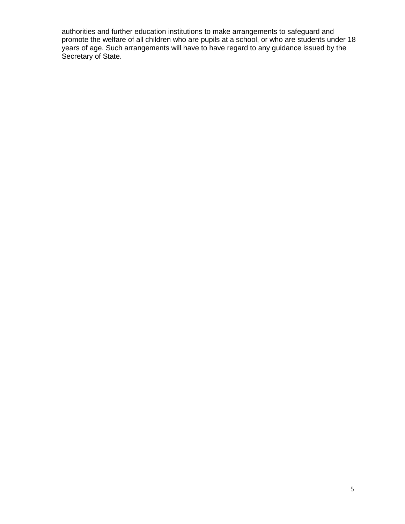authorities and further education institutions to make arrangements to safeguard and promote the welfare of all children who are pupils at a school, or who are students under 18 years of age. Such arrangements will have to have regard to any guidance issued by the Secretary of State.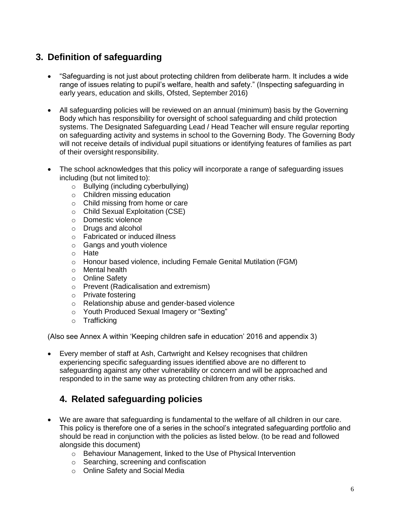## **3. Definition of safeguarding**

- "Safeguarding is not just about protecting children from deliberate harm. It includes a wide range of issues relating to pupil's welfare, health and safety." (Inspecting safeguarding in early years, education and skills, Ofsted, September 2016)
- All safeguarding policies will be reviewed on an annual (minimum) basis by the Governing Body which has responsibility for oversight of school safeguarding and child protection systems. The Designated Safeguarding Lead / Head Teacher will ensure regular reporting on safeguarding activity and systems in school to the Governing Body. The Governing Body will not receive details of individual pupil situations or identifying features of families as part of their oversight responsibility.
- The school acknowledges that this policy will incorporate a range of safeguarding issues including (but not limited to):
	- o Bullying (including cyberbullying)
	- o Children missing education
	- o Child missing from home or care
	- o Child Sexual Exploitation (CSE)
	- o Domestic violence
	- o Drugs and alcohol
	- o Fabricated or induced illness
	- o Gangs and youth violence
	- o Hate
	- o Honour based violence, including Female Genital Mutilation (FGM)
	- o Mental health
	- o Online Safety
	- o Prevent (Radicalisation and extremism)
	- o Private fostering
	- o Relationship abuse and gender-based violence
	- o Youth Produced Sexual Imagery or "Sexting"
	- o Trafficking

(Also see Annex A within 'Keeping children safe in education' 2016 and appendix 3)

 Every member of staff at Ash, Cartwright and Kelsey recognises that children experiencing specific safeguarding issues identified above are no different to safeguarding against any other vulnerability or concern and will be approached and responded to in the same way as protecting children from any other risks.

## **4. Related safeguarding policies**

- We are aware that safeguarding is fundamental to the welfare of all children in our care. This policy is therefore one of a series in the school's integrated safeguarding portfolio and should be read in conjunction with the policies as listed below. (to be read and followed alongside this document)
	- o Behaviour Management, linked to the Use of Physical Intervention
	- o Searching, screening and confiscation
	- o Online Safety and Social Media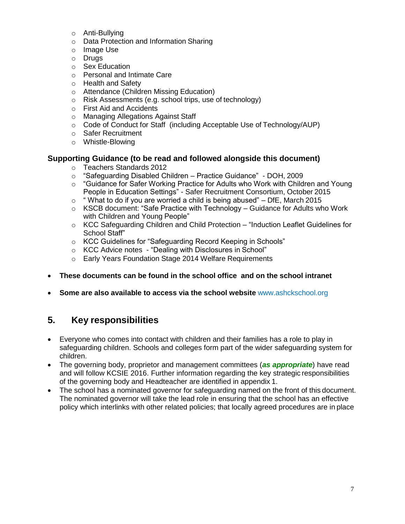- o Anti-Bullying
- o Data Protection and Information Sharing
- o Image Use
- o Drugs
- o Sex Education
- o Personal and Intimate Care
- o Health and Safety
- o Attendance (Children Missing Education)
- o Risk Assessments (e.g. school trips, use of technology)
- o First Aid and Accidents
- o Managing Allegations Against Staff
- $\circ$  Code of Conduct for Staff (including Acceptable Use of Technology/AUP)
- o Safer Recruitment
- o Whistle-Blowing

#### **Supporting Guidance (to be read and followed alongside this document)**

- o Teachers Standards 2012
- $\circ$  "Safeguarding Disabled Children Practice Guidance" DOH, 2009
- $\circ$  "Guidance for Safer Working Practice for Adults who Work with Children and Young People in Education Settings" - Safer Recruitment Consortium, October 2015
- $\circ$  " What to do if you are worried a child is being abused" DfE, March 2015
- $\circ$  KSCB document: "Safe Practice with Technology Guidance for Adults who Work with Children and Young People"
- $\circ$  KCC Safeguarding Children and Child Protection "Induction Leaflet Guidelines for School Staff"
- o KCC Guidelines for "Safeguarding Record Keeping in Schools"
- o KCC Advice notes "Dealing with Disclosures in School"
- o Early Years Foundation Stage 2014 Welfare Requirements
- **These documents can be found in the school office and on the school intranet**
- **Some are also available to access via the school website** www.ashckschool.org

### **5. Key responsibilities**

- Everyone who comes into contact with children and their families has a role to play in safeguarding children. Schools and colleges form part of the wider safeguarding system for children.
- The governing body, proprietor and management committees (*as appropriate*) have read and will follow KCSIE 2016. Further information regarding the key strategic responsibilities of the governing body and Headteacher are identified in appendix 1.
- The school has a nominated governor for safeguarding named on the front of this document. The nominated governor will take the lead role in ensuring that the school has an effective policy which interlinks with other related policies; that locally agreed procedures are in place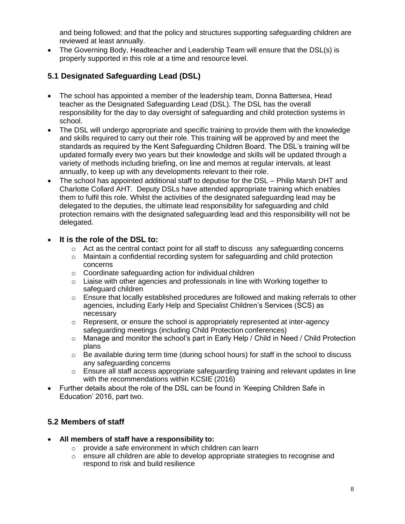and being followed; and that the policy and structures supporting safeguarding children are reviewed at least annually.

• The Governing Body, Headteacher and Leadership Team will ensure that the DSL(s) is properly supported in this role at a time and resource level.

#### **5.1 Designated Safeguarding Lead (DSL)**

- The school has appointed a member of the leadership team, Donna Battersea, Head teacher as the Designated Safeguarding Lead (DSL). The DSL has the overall responsibility for the day to day oversight of safeguarding and child protection systems in school.
- The DSL will undergo appropriate and specific training to provide them with the knowledge and skills required to carry out their role. This training will be approved by and meet the standards as required by the Kent Safeguarding Children Board. The DSL's training will be updated formally every two years but their knowledge and skills will be updated through a variety of methods including briefing, on line and memos at regular intervals, at least annually, to keep up with any developments relevant to their role.
- The school has appointed additional staff to deputise for the DSL Philip Marsh DHT and Charlotte Collard AHT. Deputy DSLs have attended appropriate training which enables them to fulfil this role. Whilst the activities of the designated safeguarding lead may be delegated to the deputies, the ultimate lead responsibility for safeguarding and child protection remains with the designated safeguarding lead and this responsibility will not be delegated.

#### **It is the role of the DSL to:**

- $\circ$  Act as the central contact point for all staff to discuss any safeguarding concerns
- $\circ$  Maintain a confidential recording system for safeguarding and child protection concerns
- o Coordinate safeguarding action for individual children
- $\circ$  Liaise with other agencies and professionals in line with Working together to safeguard children
- o Ensure that locally established procedures are followed and making referrals to other agencies, including Early Help and Specialist Children's Services (SCS) as necessary
- $\circ$  Represent, or ensure the school is appropriately represented at inter-agency safeguarding meetings (including Child Protection conferences)
- o Manage and monitor the school's part in Early Help / Child in Need / Child Protection plans
- $\circ$  Be available during term time (during school hours) for staff in the school to discuss any safeguarding concerns
- o Ensure all staff access appropriate safeguarding training and relevant updates in line with the recommendations within KCSIE (2016)
- Further details about the role of the DSL can be found in 'Keeping Children Safe in Education' 2016, part two.

#### **5.2 Members of staff**

- **All members of staff have a responsibility to:**
	- o provide a safe environment in which children can learn
	- $\circ$  ensure all children are able to develop appropriate strategies to recognise and respond to risk and build resilience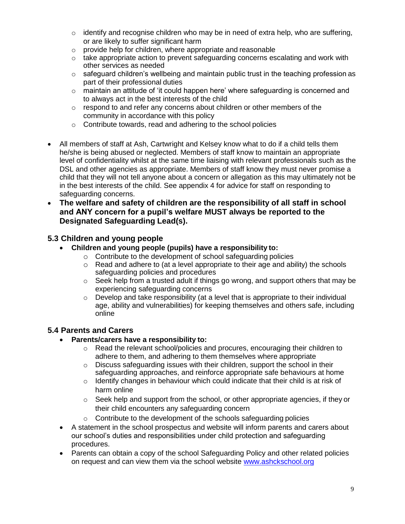- $\circ$  identify and recognise children who may be in need of extra help, who are suffering, or are likely to suffer significant harm
- o provide help for children, where appropriate and reasonable
- $\circ$  take appropriate action to prevent safeguarding concerns escalating and work with other services as needed
- $\circ$  safeguard children's wellbeing and maintain public trust in the teaching profession as part of their professional duties
- $\circ$  maintain an attitude of 'it could happen here' where safeguarding is concerned and to always act in the best interests of the child
- $\circ$  respond to and refer any concerns about children or other members of the community in accordance with this policy
- o Contribute towards, read and adhering to the school policies
- All members of staff at Ash, Cartwright and Kelsey know what to do if a child tells them he/she is being abused or neglected. Members of staff know to maintain an appropriate level of confidentiality whilst at the same time liaising with relevant professionals such as the DSL and other agencies as appropriate. Members of staff know they must never promise a child that they will not tell anyone about a concern or allegation as this may ultimately not be in the best interests of the child. See appendix 4 for advice for staff on responding to safeguarding concerns.
- **The welfare and safety of children are the responsibility of all staff in school and ANY concern for a pupil's welfare MUST always be reported to the Designated Safeguarding Lead(s).**

#### **5.3 Children and young people**

- **Children and young people (pupils) have a responsibility to:**
	- o Contribute to the development of school safeguarding policies
	- $\circ$  Read and adhere to (at a level appropriate to their age and ability) the schools safeguarding policies and procedures
	- o Seek help from a trusted adult if things go wrong, and support others that may be experiencing safeguarding concerns
	- $\circ$  Develop and take responsibility (at a level that is appropriate to their individual age, ability and vulnerabilities) for keeping themselves and others safe, including online

#### **5.4 Parents and Carers**

- **Parents/carers have a responsibility to:**
	- $\circ$  Read the relevant school/policies and procures, encouraging their children to adhere to them, and adhering to them themselves where appropriate
	- o Discuss safeguarding issues with their children, support the school in their safeguarding approaches, and reinforce appropriate safe behaviours at home
	- $\circ$  Identify changes in behaviour which could indicate that their child is at risk of harm online
	- $\circ$  Seek help and support from the school, or other appropriate agencies, if they or their child encounters any safeguarding concern
	- $\circ$  Contribute to the development of the schools safeguarding policies
- A statement in the school prospectus and website will inform parents and carers about our school's duties and responsibilities under child protection and safeguarding procedures.
- Parents can obtain a copy of the school Safeguarding Policy and other related policies on request and can view them via the school website [www.ashckschool.org](http://www.ashckschool.org/)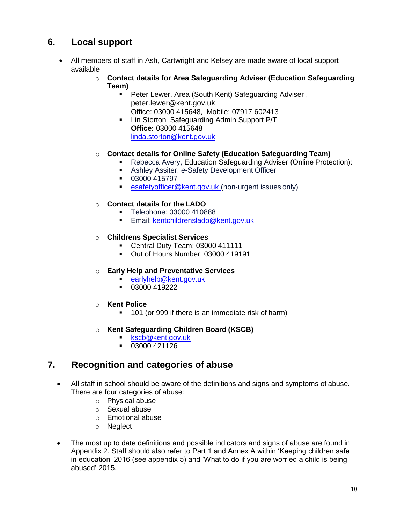## **6. Local support**

- All members of staff in Ash, Cartwright and Kelsey are made aware of local support available
	- o **Contact details for Area Safeguarding Adviser (Education Safeguarding Team)**
		- **Peter Lewer, Area (South Kent) Safeguarding Adviser,** peter.lewer@kent.gov.uk Office: 03000 415648, Mobile: 07917 602413
		- **-** Lin Storton Safeguarding Admin Support P/T **Office:** 03000 415648 [linda.storton@kent.gov.uk](mailto:linda.storton@kent.gov.uk)

#### o **Contact details for Online Safety (Education Safeguarding Team)**

- Rebecca Avery, Education Safeguarding Adviser (Online Protection):
- Ashley Assiter, e-Safety Development Officer
- 03000 415797
- **EXECUTE:** [esafetyofficer@kent.gov.uk \(](mailto:esafetyofficer@kent.gov.uk)non-urgent issues only)

#### o **Contact details for the LADO**

- **Telephone: 03000 410888**
- **Email: [kentchildrenslado@kent.gov.uk](mailto:kentchildrenslado@kent.gov.uk)**

#### o **Childrens Specialist Services**

- Central Duty Team: 03000 411111
- Out of Hours Number: 03000 419191

#### o **Early Help and Preventative Services**

- [earlyhelp@kent.gov.uk](mailto:earlyhelp@kent.gov.uk)
- $-03000419222$
- o **Kent Police**
	- **101** (or 999 if there is an immediate risk of harm)

#### o **Kent Safeguarding Children Board (KSCB)**

- [kscb@kent.gov.uk](mailto:kscb@kent.gov.uk)
- $\overline{03000421126}$

### **7. Recognition and categories of abuse**

- All staff in school should be aware of the definitions and signs and symptoms of abuse. There are four categories of abuse:
	- o Physical abuse
	- o Sexual abuse
	- o Emotional abuse
	- o Neglect
- The most up to date definitions and possible indicators and signs of abuse are found in Appendix 2. Staff should also refer to Part 1 and Annex A within 'Keeping children safe in education' 2016 (see appendix 5) and 'What to do if you are worried a child is being abused' 2015.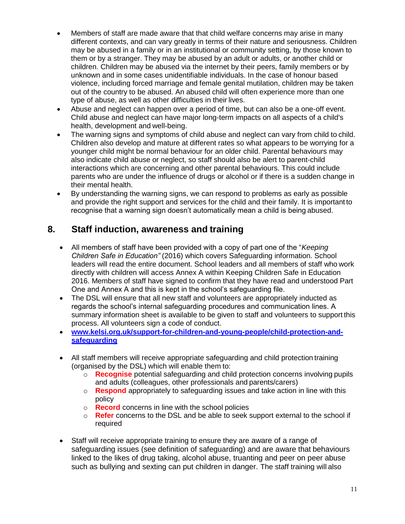- Members of staff are made aware that that child welfare concerns may arise in many different contexts, and can vary greatly in terms of their nature and seriousness. Children may be abused in a family or in an institutional or community setting, by those known to them or by a stranger. They may be abused by an adult or adults, or another child or children. Children may be abused via the internet by their peers, family members or by unknown and in some cases unidentifiable individuals. In the case of honour based violence, including forced marriage and female genital mutilation, children may be taken out of the country to be abused. An abused child will often experience more than one type of abuse, as well as other difficulties in their lives.
- Abuse and neglect can happen over a period of time, but can also be a one-off event. Child abuse and neglect can have major long-term impacts on all aspects of a child's health, development and well-being.
- The warning signs and symptoms of child abuse and neglect can vary from child to child. Children also develop and mature at different rates so what appears to be worrying for a younger child might be normal behaviour for an older child. Parental behaviours may also indicate child abuse or neglect, so staff should also be alert to parent-child interactions which are concerning and other parental behaviours. This could include parents who are under the influence of drugs or alcohol or if there is a sudden change in their mental health.
- By understanding the warning signs, we can respond to problems as early as possible and provide the right support and services for the child and their family. It is important to recognise that a warning sign doesn't automatically mean a child is being abused.

### **8. Staff induction, awareness and training**

- All members of staff have been provided with a copy of part one of the "*Keeping Children Safe in Education"* (2016) which covers Safeguarding information. School leaders will read the entire document. School leaders and all members of staff who work directly with children will access Annex A within Keeping Children Safe in Education 2016. Members of staff have signed to confirm that they have read and understood Part One and Annex A and this is kept in the school's safeguarding file.
- The DSL will ensure that all new staff and volunteers are appropriately inducted as regards the school's internal safeguarding procedures and communication lines. A summary information sheet is available to be given to staff and volunteers to support this process. All volunteers sign a code of conduct.
- **[www.kelsi.org.uk/support-for-children-and-young-people/child-protection-and](http://www.kelsi.org.uk/support-for-children-and-young-people/child-protection-and-safeguarding)[safeguarding](http://www.kelsi.org.uk/support-for-children-and-young-people/child-protection-and-safeguarding)**
- All staff members will receive appropriate safeguarding and child protection training (organised by the DSL) which will enable them to:
	- o **Recognise** potential safeguarding and child protection concerns involving pupils and adults (colleagues, other professionals and parents/carers)
	- o **Respond** appropriately to safeguarding issues and take action in line with this policy
	- o **Record** concerns in line with the school policies
	- o **Refer** concerns to the DSL and be able to seek support external to the school if required
- Staff will receive appropriate training to ensure they are aware of a range of safeguarding issues (see definition of safeguarding) and are aware that behaviours linked to the likes of drug taking, alcohol abuse, truanting and peer on peer abuse such as bullying and sexting can put children in danger. The staff training will also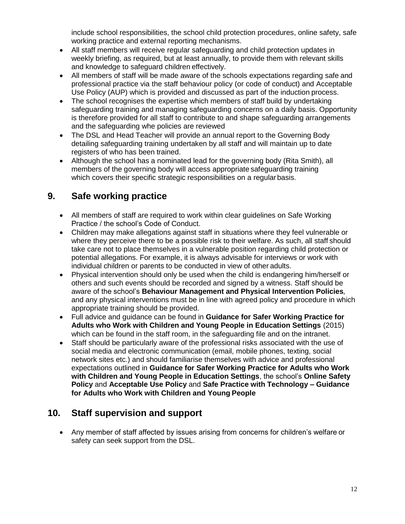include school responsibilities, the school child protection procedures, online safety, safe working practice and external reporting mechanisms.

- All staff members will receive regular safeguarding and child protection updates in weekly briefing, as required, but at least annually, to provide them with relevant skills and knowledge to safeguard children effectively.
- All members of staff will be made aware of the schools expectations regarding safe and professional practice via the staff behaviour policy (or code of conduct) and Acceptable Use Policy (AUP) which is provided and discussed as part of the induction process.
- The school recognises the expertise which members of staff build by undertaking safeguarding training and managing safeguarding concerns on a daily basis. Opportunity is therefore provided for all staff to contribute to and shape safeguarding arrangements and the safeguarding whe policies are reviewed
- The DSL and Head Teacher will provide an annual report to the Governing Body detailing safeguarding training undertaken by all staff and will maintain up to date registers of who has been trained.
- Although the school has a nominated lead for the governing body (Rita Smith), all members of the governing body will access appropriate safeguarding training which covers their specific strategic responsibilities on a regular basis.

## **9. Safe working practice**

- All members of staff are required to work within clear guidelines on Safe Working Practice / the school's Code of Conduct.
- Children may make allegations against staff in situations where they feel vulnerable or where they perceive there to be a possible risk to their welfare. As such, all staff should take care not to place themselves in a vulnerable position regarding child protection or potential allegations. For example, it is always advisable for interviews or work with individual children or parents to be conducted in view of other adults.
- Physical intervention should only be used when the child is endangering him/herself or others and such events should be recorded and signed by a witness. Staff should be aware of the school's **Behaviour Management and Physical Intervention Policies***,*  and any physical interventions must be in line with agreed policy and procedure in which appropriate training should be provided.
- Full advice and guidance can be found in **Guidance for Safer Working Practice for Adults who Work with Children and Young People in Education Settings** (2015) which can be found in the staff room, in the safeguarding file and on the intranet.
- Staff should be particularly aware of the professional risks associated with the use of social media and electronic communication (email, mobile phones, texting, social network sites etc.) and should familiarise themselves with advice and professional expectations outlined in **Guidance for Safer Working Practice for Adults who Work with Children and Young People in Education Settings**, the school's **Online Safety Policy** and **Acceptable Use Policy** and **Safe Practice with Technology – Guidance for Adults who Work with Children and Young People**

## **10. Staff supervision and support**

 Any member of staff affected by issues arising from concerns for children's welfare or safety can seek support from the DSL.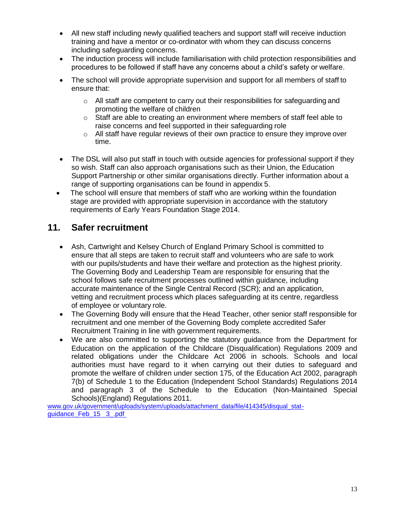- All new staff including newly qualified teachers and support staff will receive induction training and have a mentor or co-ordinator with whom they can discuss concerns including safeguarding concerns.
- The induction process will include familiarisation with child protection responsibilities and procedures to be followed if staff have any concerns about a child's safety or welfare.
- The school will provide appropriate supervision and support for all members of staff to ensure that:
	- $\circ$  All staff are competent to carry out their responsibilities for safeguarding and promoting the welfare of children
	- $\circ$  Staff are able to creating an environment where members of staff feel able to raise concerns and feel supported in their safeguarding role
	- $\circ$  All staff have regular reviews of their own practice to ensure they improve over time.
- The DSL will also put staff in touch with outside agencies for professional support if they so wish. Staff can also approach organisations such as their Union, the Education Support Partnership or other similar organisations directly. Further information about a range of supporting organisations can be found in appendix 5.
- The school will ensure that members of staff who are working within the foundation stage are provided with appropriate supervision in accordance with the statutory requirements of Early Years Foundation Stage 2014.

#### **11. Safer recruitment**

- Ash, Cartwright and Kelsey Church of England Primary School is committed to ensure that all steps are taken to recruit staff and volunteers who are safe to work with our pupils/students and have their welfare and protection as the highest priority. The Governing Body and Leadership Team are responsible for ensuring that the school follows safe recruitment processes outlined within guidance, including accurate maintenance of the Single Central Record (SCR); and an application, vetting and recruitment process which places safeguarding at its centre, regardless of employee or voluntary role.
- The Governing Body will ensure that the Head Teacher, other senior staff responsible for recruitment and one member of the Governing Body complete accredited Safer Recruitment Training in line with government requirements.
- We are also committed to supporting the statutory guidance from the Department for Education on the application of the Childcare (Disqualification) Regulations 2009 and related obligations under the Childcare Act 2006 in schools. Schools and local authorities must have regard to it when carrying out their duties to safeguard and promote the welfare of children under section 175, of the Education Act 2002, paragraph 7(b) of Schedule 1 to the Education (Independent School Standards) Regulations 2014 and paragraph 3 of the Schedule to the Education (Non-Maintained Special Schools)(England) Regulations 2011.

[www.gov.uk/government/uploads/system/uploads/attachment\\_data/file/414345/disqual\\_stat](http://www.gov.uk/government/uploads/system/uploads/attachment_data/file/414345/disqual_stat-guidance_Feb_15__3_.pdf)[guidance\\_Feb\\_15 3\\_.pdf](http://www.gov.uk/government/uploads/system/uploads/attachment_data/file/414345/disqual_stat-guidance_Feb_15__3_.pdf)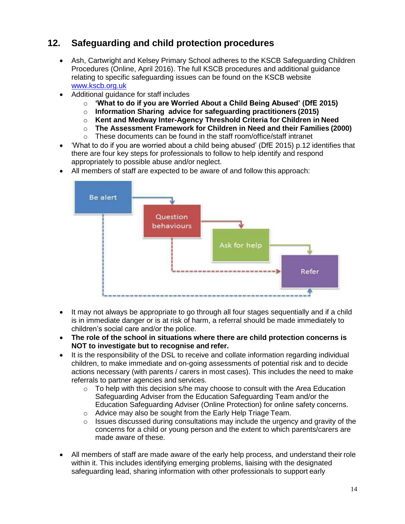## **12. Safeguarding and child protection procedures**

- Ash, Cartwright and Kelsey Primary School adheres to the KSCB Safeguarding Children Procedures (Online, April 2016). The full KSCB procedures and additional guidance relating to specific safeguarding issues can be found on the KSCB website [www.kscb.org.uk](http://www.kscb.org.uk/)
- Additional guidance for staff includes
	- o **'What to do if you are Worried About a Child Being Abused' (DfE 2015)**
	- o **Information Sharing advice for safeguarding practitioners (2015)**
	- o **Kent and Medway Inter-Agency Threshold Criteria for Children in Need**
	- o **The Assessment Framework for Children in Need and their Families (2000)**
	- o These documents can be found in the staff room/office/staff intranet
- 'What to do if you are worried about a child being abused' (DfE 2015) p.12 identifies that there are four key steps for professionals to follow to help identify and respond appropriately to possible abuse and/or neglect.
- All members of staff are expected to be aware of and follow this approach:



- It may not always be appropriate to go through all four stages sequentially and if a child is in immediate danger or is at risk of harm, a referral should be made immediately to children's social care and/or the police.
- **The role of the school in situations where there are child protection concerns is NOT to investigate but to recognise and refer.**
- It is the responsibility of the DSL to receive and collate information regarding individual children, to make immediate and on-going assessments of potential risk and to decide actions necessary (with parents / carers in most cases). This includes the need to make referrals to partner agencies and services.
	- $\circ$  To help with this decision s/he may choose to consult with the Area Education Safeguarding Adviser from the Education Safeguarding Team and/or the Education Safeguarding Adviser (Online Protection) for online safety concerns.
	- o Advice may also be sought from the Early Help Triage Team.
	- $\circ$  Issues discussed during consultations may include the urgency and gravity of the concerns for a child or young person and the extent to which parents/carers are made aware of these.
- All members of staff are made aware of the early help process, and understand their role within it. This includes identifying emerging problems, liaising with the designated safeguarding lead, sharing information with other professionals to support early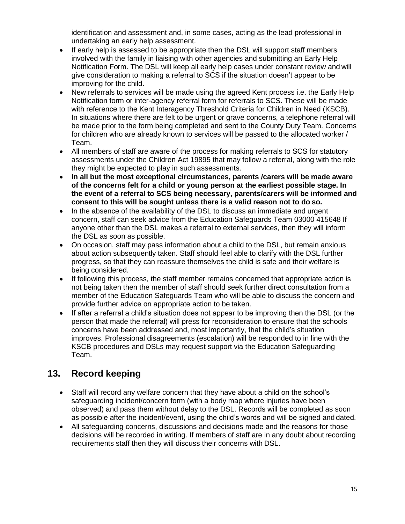identification and assessment and, in some cases, acting as the lead professional in undertaking an early help assessment.

- If early help is assessed to be appropriate then the DSL will support staff members involved with the family in liaising with other agencies and submitting an Early Help Notification Form. The DSL will keep all early help cases under constant review and will give consideration to making a referral to SCS if the situation doesn't appear to be improving for the child.
- New referrals to services will be made using the agreed Kent process i.e. the Early Help Notification form or inter-agency referral form for referrals to SCS. These will be made with reference to the Kent Interagency Threshold Criteria for Children in Need (KSCB). In situations where there are felt to be urgent or grave concerns, a telephone referral will be made prior to the form being completed and sent to the County Duty Team. Concerns for children who are already known to services will be passed to the allocated worker / Team.
- All members of staff are aware of the process for making referrals to SCS for statutory assessments under the Children Act 19895 that may follow a referral, along with the role they might be expected to play in such assessments.
- **In all but the most exceptional circumstances, parents /carers will be made aware of the concerns felt for a child or young person at the earliest possible stage. In the event of a referral to SCS being necessary, parents/carers will be informed and consent to this will be sought unless there is a valid reason not to do so.**
- In the absence of the availability of the DSL to discuss an immediate and urgent concern, staff can seek advice from the Education Safeguards Team 03000 415648 If anyone other than the DSL makes a referral to external services, then they will inform the DSL as soon as possible.
- On occasion, staff may pass information about a child to the DSL, but remain anxious about action subsequently taken. Staff should feel able to clarify with the DSL further progress, so that they can reassure themselves the child is safe and their welfare is being considered.
- If following this process, the staff member remains concerned that appropriate action is not being taken then the member of staff should seek further direct consultation from a member of the Education Safeguards Team who will be able to discuss the concern and provide further advice on appropriate action to be taken.
- If after a referral a child's situation does not appear to be improving then the DSL (or the person that made the referral) will press for reconsideration to ensure that the schools concerns have been addressed and, most importantly, that the child's situation improves. Professional disagreements (escalation) will be responded to in line with the KSCB procedures and DSLs may request support via the Education Safeguarding Team.

## **13. Record keeping**

- Staff will record any welfare concern that they have about a child on the school's safeguarding incident/concern form (with a body map where injuries have been observed) and pass them without delay to the DSL. Records will be completed as soon as possible after the incident/event, using the child's words and will be signed and dated.
- All safeguarding concerns, discussions and decisions made and the reasons for those decisions will be recorded in writing. If members of staff are in any doubt about recording requirements staff then they will discuss their concerns with DSL.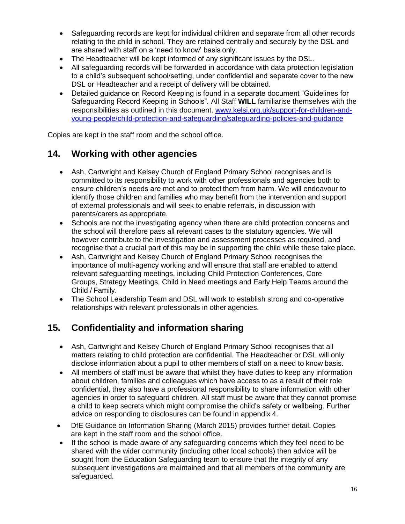- Safeguarding records are kept for individual children and separate from all other records relating to the child in school. They are retained centrally and securely by the DSL and are shared with staff on a 'need to know' basis only.
- The Headteacher will be kept informed of any significant issues by the DSL.
- All safeguarding records will be forwarded in accordance with data protection legislation to a child's subsequent school/setting, under confidential and separate cover to the new DSL or Headteacher and a receipt of delivery will be obtained.
- Detailed guidance on Record Keeping is found in a separate document "Guidelines for Safeguarding Record Keeping in Schools"*.* All Staff **WILL** familiarise themselves with the responsibilities as outlined in this document. [www.kelsi.org.uk/support-for-children-and](http://www.kelsi.org.uk/support-for-children-and-young-people/child-protection-and-safeguarding/safeguarding-policies-and-guidance)[young-people/child-protection-and-safeguarding/safeguarding-policies-and-guidance](http://www.kelsi.org.uk/support-for-children-and-young-people/child-protection-and-safeguarding/safeguarding-policies-and-guidance)

Copies are kept in the staff room and the school office.

#### **14. Working with other agencies**

- Ash, Cartwright and Kelsey Church of England Primary School recognises and is committed to its responsibility to work with other professionals and agencies both to ensure children's needs are met and to protect them from harm. We will endeavour to identify those children and families who may benefit from the intervention and support of external professionals and will seek to enable referrals, in discussion with parents/carers as appropriate.
- Schools are not the investigating agency when there are child protection concerns and the school will therefore pass all relevant cases to the statutory agencies. We will however contribute to the investigation and assessment processes as required, and recognise that a crucial part of this may be in supporting the child while these take place.
- Ash, Cartwright and Kelsey Church of England Primary School recognises the importance of multi-agency working and will ensure that staff are enabled to attend relevant safeguarding meetings, including Child Protection Conferences, Core Groups, Strategy Meetings, Child in Need meetings and Early Help Teams around the Child / Family.
- The School Leadership Team and DSL will work to establish strong and co-operative relationships with relevant professionals in other agencies.

### **15. Confidentiality and information sharing**

- Ash, Cartwright and Kelsey Church of England Primary School recognises that all matters relating to child protection are confidential. The Headteacher or DSL will only disclose information about a pupil to other members of staff on a need to know basis.
- All members of staff must be aware that whilst they have duties to keep any information about children, families and colleagues which have access to as a result of their role confidential, they also have a professional responsibility to share information with other agencies in order to safeguard children. All staff must be aware that they cannot promise a child to keep secrets which might compromise the child's safety or wellbeing. Further advice on responding to disclosures can be found in appendix 4.
- DfE Guidance on Information Sharing (March 2015) provides further detail. Copies are kept in the staff room and the school office.
- If the school is made aware of any safeguarding concerns which they feel need to be shared with the wider community (including other local schools) then advice will be sought from the Education Safeguarding team to ensure that the integrity of any subsequent investigations are maintained and that all members of the community are safeguarded.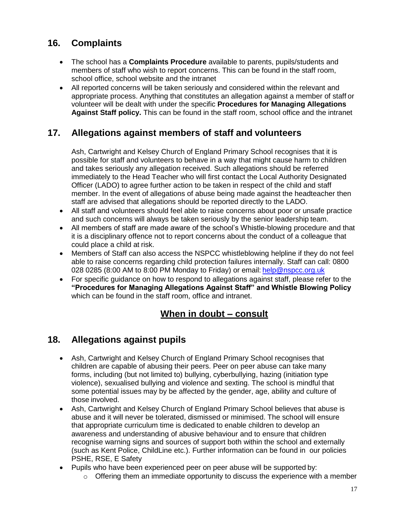## **16. Complaints**

- The school has a **Complaints Procedure** available to parents, pupils/students and members of staff who wish to report concerns. This can be found in the staff room, school office, school website and the intranet
- All reported concerns will be taken seriously and considered within the relevant and appropriate process. Anything that constitutes an allegation against a member of staff or volunteer will be dealt with under the specific **Procedures for Managing Allegations Against Staff policy.** This can be found in the staff room, school office and the intranet

#### **17. Allegations against members of staff and volunteers**

Ash, Cartwright and Kelsey Church of England Primary School recognises that it is possible for staff and volunteers to behave in a way that might cause harm to children and takes seriously any allegation received. Such allegations should be referred immediately to the Head Teacher who will first contact the Local Authority Designated Officer (LADO) to agree further action to be taken in respect of the child and staff member. In the event of allegations of abuse being made against the headteacher then staff are advised that allegations should be reported directly to the LADO.

- All staff and volunteers should feel able to raise concerns about poor or unsafe practice and such concerns will always be taken seriously by the senior leadership team.
- All members of staff are made aware of the school's Whistle-blowing procedure and that it is a disciplinary offence not to report concerns about the conduct of a colleague that could place a child at risk.
- Members of Staff can also access the NSPCC whistleblowing helpline if they do not feel able to raise concerns regarding child protection failures internally. Staff can call: 0800 028 0285 (8:00 AM to 8:00 PM Monday to Friday) or email: [help@nspcc.org.uk](mailto:help@nspcc.org.uk)
- For specific guidance on how to respond to allegations against staff, please refer to the **"Procedures for Managing Allegations Against Staff" and Whistle Blowing Policy**  which can be found in the staff room, office and intranet.

### **When in doubt – consult**

### **18. Allegations against pupils**

- Ash, Cartwright and Kelsey Church of England Primary School recognises that children are capable of abusing their peers. Peer on peer abuse can take many forms, including (but not limited to) bullying, cyberbullying, hazing (initiation type violence), sexualised bullying and violence and sexting. The school is mindful that some potential issues may by be affected by the gender, age, ability and culture of those involved.
- Ash, Cartwright and Kelsey Church of England Primary School believes that abuse is abuse and it will never be tolerated, dismissed or minimised. The school will ensure that appropriate curriculum time is dedicated to enable children to develop an awareness and understanding of abusive behaviour and to ensure that children recognise warning signs and sources of support both within the school and externally (such as Kent Police, ChildLine etc.). Further information can be found in our policies PSHE, RSE, E Safety
- Pupils who have been experienced peer on peer abuse will be supported by:
	- $\circ$  Offering them an immediate opportunity to discuss the experience with a member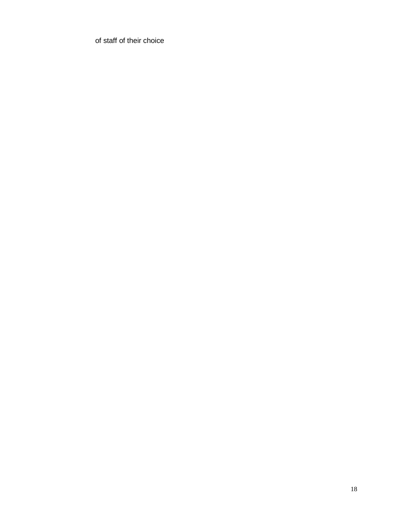of staff of their choice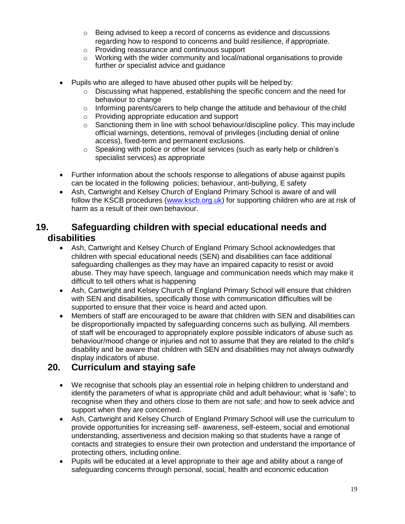- o Being advised to keep a record of concerns as evidence and discussions regarding how to respond to concerns and build resilience, if appropriate.
- o Providing reassurance and continuous support
- $\circ$  Working with the wider community and local/national organisations to provide further or specialist advice and guidance
- Pupils who are alleged to have abused other pupils will be helped by:
	- $\circ$  Discussing what happened, establishing the specific concern and the need for behaviour to change
	- o Informing parents/carers to help change the attitude and behaviour of the child
	- o Providing appropriate education and support
	- $\circ$  Sanctioning them in line with school behaviour/discipline policy. This may include official warnings, detentions, removal of privileges (including denial of online access), fixed-term and permanent exclusions.
	- o Speaking with police or other local services (such as early help or children's specialist services) as appropriate
- Further information about the schools response to allegations of abuse against pupils can be located in the following policies; behaviour, anti-bullying, E safety
- Ash, Cartwright and Kelsey Church of England Primary School is aware of and will follow the KSCB procedures [\(www.kscb.org.uk\)](http://www.kscb.org.uk/) for supporting children who are at risk of harm as a result of their own behaviour.

#### **19. Safeguarding children with special educational needs and disabilities**

- Ash, Cartwright and Kelsey Church of England Primary School acknowledges that children with special educational needs (SEN) and disabilities can face additional safeguarding challenges as they may have an impaired capacity to resist or avoid abuse. They may have speech, language and communication needs which may make it difficult to tell others what is happening
- Ash, Cartwright and Kelsey Church of England Primary School will ensure that children with SEN and disabilities, specifically those with communication difficulties will be supported to ensure that their voice is heard and acted upon.
- Members of staff are encouraged to be aware that children with SEN and disabilities can be disproportionally impacted by safeguarding concerns such as bullying. All members of staff will be encouraged to appropriately explore possible indicators of abuse such as behaviour/mood change or injuries and not to assume that they are related to the child's disability and be aware that children with SEN and disabilities may not always outwardly display indicators of abuse.

### **20. Curriculum and staying safe**

- We recognise that schools play an essential role in helping children to understand and identify the parameters of what is appropriate child and adult behaviour; what is 'safe'; to recognise when they and others close to them are not safe; and how to seek advice and support when they are concerned.
- Ash, Cartwright and Kelsey Church of England Primary School will use the curriculum to provide opportunities for increasing self- awareness, self-esteem, social and emotional understanding, assertiveness and decision making so that students have a range of contacts and strategies to ensure their own protection and understand the importance of protecting others, including online.
- Pupils will be educated at a level appropriate to their age and ability about a range of safeguarding concerns through personal, social, health and economic education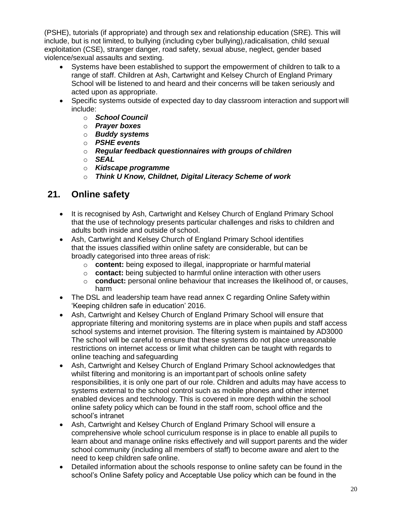(PSHE), tutorials (if appropriate) and through sex and relationship education (SRE). This will include, but is not limited, to bullying (including cyber bullying),radicalisation, child sexual exploitation (CSE), stranger danger, road safety, sexual abuse, neglect, gender based violence/sexual assaults and sexting.

- Systems have been established to support the empowerment of children to talk to a range of staff. Children at Ash, Cartwright and Kelsey Church of England Primary School will be listened to and heard and their concerns will be taken seriously and acted upon as appropriate.
- Specific systems outside of expected day to day classroom interaction and support will include:
	- o *School Council*
	- o *Prayer boxes*
	- o *Buddy systems*
	- o *PSHE events*
	- o *Regular feedback questionnaires with groups of children*
	- o *SEAL*
	- o *Kidscape programme*
	- o *Think U Know, Childnet, Digital Literacy Scheme of work*

#### **21. Online safety**

- It is recognised by Ash, Cartwright and Kelsey Church of England Primary School that the use of technology presents particular challenges and risks to children and adults both inside and outside of school.
- Ash, Cartwright and Kelsey Church of England Primary School identifies that the issues classified within online safety are considerable, but can be broadly categorised into three areas of risk:
	- o **content:** being exposed to illegal, inappropriate or harmful material
	- o **contact:** being subjected to harmful online interaction with other users
	- o **conduct:** personal online behaviour that increases the likelihood of, or causes, harm
- The DSL and leadership team have read annex C regarding Online Safety within 'Keeping children safe in education' 2016.
- Ash, Cartwright and Kelsey Church of England Primary School will ensure that appropriate filtering and monitoring systems are in place when pupils and staff access school systems and internet provision. The filtering system is maintained by AD3000 The school will be careful to ensure that these systems do not place unreasonable restrictions on internet access or limit what children can be taught with regards to online teaching and safeguarding
- Ash, Cartwright and Kelsey Church of England Primary School acknowledges that whilst filtering and monitoring is an important part of schools online safety responsibilities, it is only one part of our role. Children and adults may have access to systems external to the school control such as mobile phones and other internet enabled devices and technology. This is covered in more depth within the school online safety policy which can be found in the staff room, school office and the school's intranet
- Ash, Cartwright and Kelsey Church of England Primary School will ensure a comprehensive whole school curriculum response is in place to enable all pupils to learn about and manage online risks effectively and will support parents and the wider school community (including all members of staff) to become aware and alert to the need to keep children safe online.
- Detailed information about the schools response to online safety can be found in the school's Online Safety policy and Acceptable Use policy which can be found in the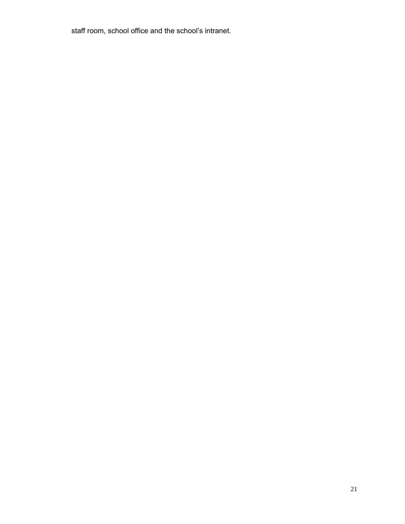staff room, school office and the school's intranet.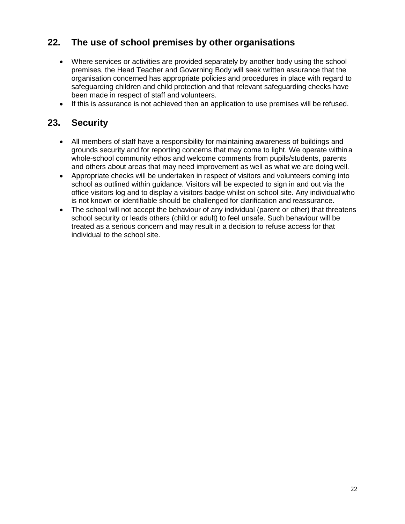## **22. The use of school premises by other organisations**

- Where services or activities are provided separately by another body using the school premises, the Head Teacher and Governing Body will seek written assurance that the organisation concerned has appropriate policies and procedures in place with regard to safeguarding children and child protection and that relevant safeguarding checks have been made in respect of staff and volunteers.
- If this is assurance is not achieved then an application to use premises will be refused.

#### **23. Security**

- All members of staff have a responsibility for maintaining awareness of buildings and grounds security and for reporting concerns that may come to light. We operate withina whole-school community ethos and welcome comments from pupils/students, parents and others about areas that may need improvement as well as what we are doing well.
- Appropriate checks will be undertaken in respect of visitors and volunteers coming into school as outlined within guidance. Visitors will be expected to sign in and out via the office visitors log and to display a visitors badge whilst on school site. Any individualwho is not known or identifiable should be challenged for clarification and reassurance.
- The school will not accept the behaviour of any individual (parent or other) that threatens school security or leads others (child or adult) to feel unsafe. Such behaviour will be treated as a serious concern and may result in a decision to refuse access for that individual to the school site.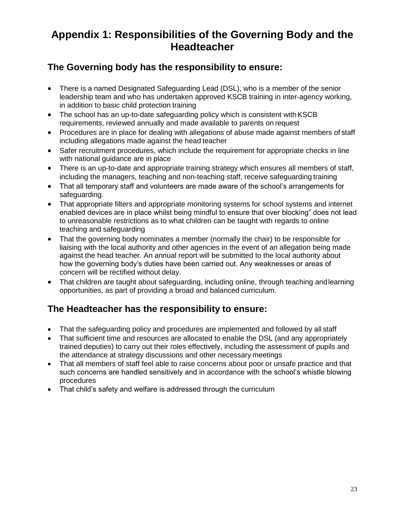## **Appendix 1: Responsibilities of the Governing Body and the Headteacher**

## **The Governing body has the responsibility to ensure:**

- There is a named Designated Safeguarding Lead (DSL), who is a member of the senior leadership team and who has undertaken approved KSCB training in inter-agency working, in addition to basic child protection training
- The school has an up-to-date safeguarding policy which is consistent with KSCB requirements, reviewed annually and made available to parents on request
- Procedures are in place for dealing with allegations of abuse made against members of staff including allegations made against the head teacher
- Safer recruitment procedures, which include the requirement for appropriate checks in line with national guidance are in place
- There is an up-to-date and appropriate training strategy which ensures all members of staff, including the managers, teaching and non-teaching staff, receive safeguarding training
- That all temporary staff and volunteers are made aware of the school's arrangements for safeguarding.
- That appropriate filters and appropriate monitoring systems for school systems and internet enabled devices are in place whilst being mindful to ensure that over blocking" does not lead to unreasonable restrictions as to what children can be taught with regards to online teaching and safeguarding
- That the governing body nominates a member (normally the chair) to be responsible for liaising with the local authority and other agencies in the event of an allegation being made against the head teacher. An annual report will be submitted to the local authority about how the governing body's duties have been carried out. Any weaknesses or areas of concern will be rectified without delay.
- That children are taught about safeguarding, including online, through teaching and learning opportunities, as part of providing a broad and balanced curriculum.

## **The Headteacher has the responsibility to ensure:**

- That the safeguarding policy and procedures are implemented and followed by all staff
- That sufficient time and resources are allocated to enable the DSL (and any appropriately trained deputies) to carry out their roles effectively, including the assessment of pupils and the attendance at strategy discussions and other necessary meetings
- That all members of staff feel able to raise concerns about poor or unsafe practice and that such concerns are handled sensitively and in accordance with the school's whistle blowing procedures
- That child's safety and welfare is addressed through the curriculum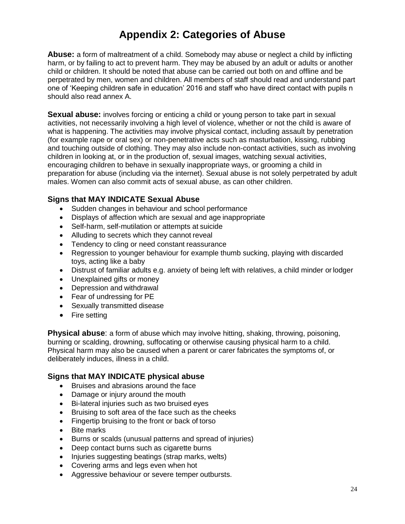## **Appendix 2: Categories of Abuse**

**Abuse:** a form of maltreatment of a child. Somebody may abuse or neglect a child by inflicting harm, or by failing to act to prevent harm. They may be abused by an adult or adults or another child or children. It should be noted that abuse can be carried out both on and offline and be perpetrated by men, women and children. All members of staff should read and understand part one of 'Keeping children safe in education' 2016 and staff who have direct contact with pupils n should also read annex A.

**Sexual abuse:** involves forcing or enticing a child or young person to take part in sexual activities, not necessarily involving a high level of violence, whether or not the child is aware of what is happening. The activities may involve physical contact, including assault by penetration (for example rape or oral sex) or non-penetrative acts such as masturbation, kissing, rubbing and touching outside of clothing. They may also include non-contact activities, such as involving children in looking at, or in the production of, sexual images, watching sexual activities, encouraging children to behave in sexually inappropriate ways, or grooming a child in preparation for abuse (including via the internet). Sexual abuse is not solely perpetrated by adult males. Women can also commit acts of sexual abuse, as can other children.

#### **Signs that MAY INDICATE Sexual Abuse**

- Sudden changes in behaviour and school performance
- Displays of affection which are sexual and age inappropriate
- Self-harm, self-mutilation or attempts at suicide
- Alluding to secrets which they cannot reveal
- Tendency to cling or need constant reassurance
- Regression to younger behaviour for example thumb sucking, playing with discarded toys, acting like a baby
- Distrust of familiar adults e.g. anxiety of being left with relatives, a child minder or lodger
- Unexplained gifts or money
- Depression and withdrawal
- Fear of undressing for PE
- Sexually transmitted disease
- Fire setting

**Physical abuse**: a form of abuse which may involve hitting, shaking, throwing, poisoning, burning or scalding, drowning, suffocating or otherwise causing physical harm to a child. Physical harm may also be caused when a parent or carer fabricates the symptoms of, or deliberately induces, illness in a child.

#### **Signs that MAY INDICATE physical abuse**

- Bruises and abrasions around the face
- Damage or injury around the mouth
- Bi-lateral injuries such as two bruised eyes
- Bruising to soft area of the face such as the cheeks
- Fingertip bruising to the front or back of torso
- Bite marks
- Burns or scalds (unusual patterns and spread of injuries)
- Deep contact burns such as cigarette burns
- Injuries suggesting beatings (strap marks, welts)
- Covering arms and legs even when hot
- Aggressive behaviour or severe temper outbursts.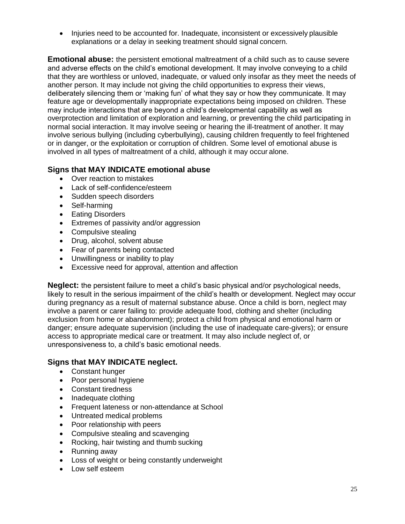Injuries need to be accounted for. Inadequate, inconsistent or excessively plausible explanations or a delay in seeking treatment should signal concern.

**Emotional abuse:** the persistent emotional maltreatment of a child such as to cause severe and adverse effects on the child's emotional development. It may involve conveying to a child that they are worthless or unloved, inadequate, or valued only insofar as they meet the needs of another person. It may include not giving the child opportunities to express their views, deliberately silencing them or 'making fun' of what they say or how they communicate. It may feature age or developmentally inappropriate expectations being imposed on children. These may include interactions that are beyond a child's developmental capability as well as overprotection and limitation of exploration and learning, or preventing the child participating in normal social interaction. It may involve seeing or hearing the ill-treatment of another. It may involve serious bullying (including cyberbullying), causing children frequently to feel frightened or in danger, or the exploitation or corruption of children. Some level of emotional abuse is involved in all types of maltreatment of a child, although it may occur alone.

#### **Signs that MAY INDICATE emotional abuse**

- Over reaction to mistakes
- Lack of self-confidence/esteem
- Sudden speech disorders
- Self-harming
- Eating Disorders
- Extremes of passivity and/or aggression
- Compulsive stealing
- Drug, alcohol, solvent abuse
- Fear of parents being contacted
- Unwillingness or inability to play
- Excessive need for approval, attention and affection

**Neglect:** the persistent failure to meet a child's basic physical and/or psychological needs, likely to result in the serious impairment of the child's health or development. Neglect may occur during pregnancy as a result of maternal substance abuse. Once a child is born, neglect may involve a parent or carer failing to: provide adequate food, clothing and shelter (including exclusion from home or abandonment); protect a child from physical and emotional harm or danger; ensure adequate supervision (including the use of inadequate care-givers); or ensure access to appropriate medical care or treatment. It may also include neglect of, or unresponsiveness to, a child's basic emotional needs.

#### **Signs that MAY INDICATE neglect.**

- Constant hunger
- Poor personal hygiene
- Constant tiredness
- Inadequate clothing
- Frequent lateness or non-attendance at School
- Untreated medical problems
- Poor relationship with peers
- Compulsive stealing and scavenging
- Rocking, hair twisting and thumb sucking
- Running away
- Loss of weight or being constantly underweight
- Low self esteem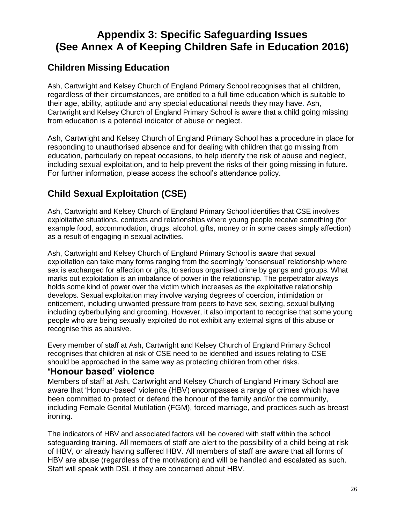## **Appendix 3: Specific Safeguarding Issues (See Annex A of Keeping Children Safe in Education 2016)**

## **Children Missing Education**

Ash, Cartwright and Kelsey Church of England Primary School recognises that all children, regardless of their circumstances, are entitled to a full time education which is suitable to their age, ability, aptitude and any special educational needs they may have. Ash, Cartwright and Kelsey Church of England Primary School is aware that a child going missing from education is a potential indicator of abuse or neglect.

Ash, Cartwright and Kelsey Church of England Primary School has a procedure in place for responding to unauthorised absence and for dealing with children that go missing from education, particularly on repeat occasions, to help identify the risk of abuse and neglect, including sexual exploitation, and to help prevent the risks of their going missing in future. For further information, please access the school's attendance policy.

## **Child Sexual Exploitation (CSE)**

Ash, Cartwright and Kelsey Church of England Primary School identifies that CSE involves exploitative situations, contexts and relationships where young people receive something (for example food, accommodation, drugs, alcohol, gifts, money or in some cases simply affection) as a result of engaging in sexual activities.

Ash, Cartwright and Kelsey Church of England Primary School is aware that sexual exploitation can take many forms ranging from the seemingly 'consensual' relationship where sex is exchanged for affection or gifts, to serious organised crime by gangs and groups. What marks out exploitation is an imbalance of power in the relationship. The perpetrator always holds some kind of power over the victim which increases as the exploitative relationship develops. Sexual exploitation may involve varying degrees of coercion, intimidation or enticement, including unwanted pressure from peers to have sex, sexting, sexual bullying including cyberbullying and grooming. However, it also important to recognise that some young people who are being sexually exploited do not exhibit any external signs of this abuse or recognise this as abusive.

Every member of staff at Ash, Cartwright and Kelsey Church of England Primary School recognises that children at risk of CSE need to be identified and issues relating to CSE should be approached in the same way as protecting children from other risks.

#### **'Honour based' violence**

Members of staff at Ash, Cartwright and Kelsey Church of England Primary School are aware that 'Honour-based' violence (HBV) encompasses a range of crimes which have been committed to protect or defend the honour of the family and/or the community, including Female Genital Mutilation (FGM), forced marriage, and practices such as breast ironing.

The indicators of HBV and associated factors will be covered with staff within the school safeguarding training. All members of staff are alert to the possibility of a child being at risk of HBV, or already having suffered HBV. All members of staff are aware that all forms of HBV are abuse (regardless of the motivation) and will be handled and escalated as such. Staff will speak with DSL if they are concerned about HBV.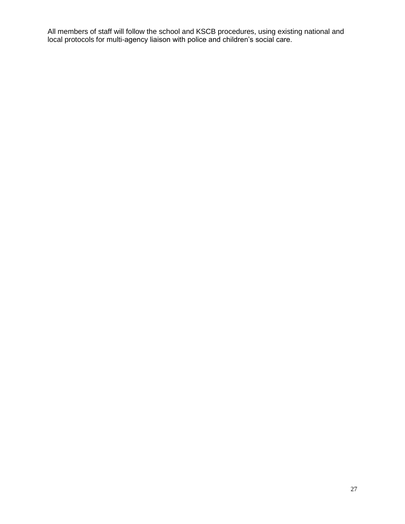All members of staff will follow the school and KSCB procedures, using existing national and local protocols for multi-agency liaison with police and children's social care.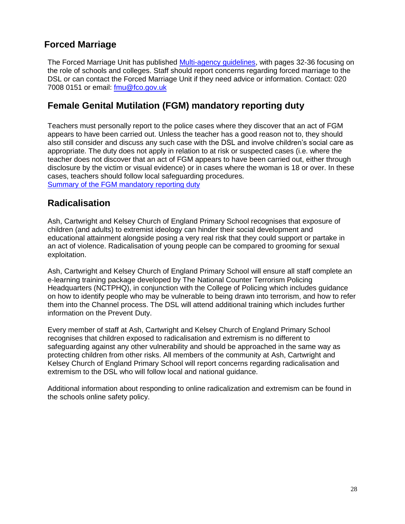## **Forced Marriage**

The Forced Marriage Unit has published [Multi-agency guidelines,](https://www.gov.uk/government/uploads/system/uploads/attachment_data/file/322307/HMG_MULTI_AGENCY_PRACTICE_GUIDELINES_v1_180614_FINAL.pdf) with pages 32-36 focusing on the role of schools and colleges. Staff should report concerns regarding forced marriage to the DSL or can contact the Forced Marriage Unit if they need advice or information. Contact: 020 7008 0151 or email: [fmu@fco.gov.uk](mailto:fmu@fco.gov.uk)

## **Female Genital Mutilation (FGM) mandatory reporting duty**

Teachers must personally report to the police cases where they discover that an act of FGM appears to have been carried out. Unless the teacher has a good reason not to, they should also still consider and discuss any such case with the DSL and involve children's social care as appropriate. The duty does not apply in relation to at risk or suspected cases (i.e. where the teacher does not discover that an act of FGM appears to have been carried out, either through disclosure by the victim or visual evidence) or in cases where the woman is 18 or over. In these cases, teachers should follow local safeguarding procedures. [Summary of the FGM mandatory reporting duty](https://www.gov.uk/government/uploads/system/uploads/attachment_data/file/496415/6_1639_HO_SP_FGM_mandatory_reporting_Fact_sheet_Web.pdf)

### **Radicalisation**

Ash, Cartwright and Kelsey Church of England Primary School recognises that exposure of children (and adults) to extremist ideology can hinder their social development and educational attainment alongside posing a very real risk that they could support or partake in an act of violence. Radicalisation of young people can be compared to grooming for sexual exploitation.

Ash, Cartwright and Kelsey Church of England Primary School will ensure all staff complete an e-learning training package developed by The National Counter Terrorism Policing Headquarters (NCTPHQ), in conjunction with the College of Policing which includes guidance on how to identify people who may be vulnerable to being drawn into terrorism, and how to refer them into the Channel process. The DSL will attend additional training which includes further information on the Prevent Duty.

Every member of staff at Ash, Cartwright and Kelsey Church of England Primary School recognises that children exposed to radicalisation and extremism is no different to safeguarding against any other vulnerability and should be approached in the same way as protecting children from other risks. All members of the community at Ash, Cartwright and Kelsey Church of England Primary School will report concerns regarding radicalisation and extremism to the DSL who will follow local and national guidance.

Additional information about responding to online radicalization and extremism can be found in the schools online safety policy.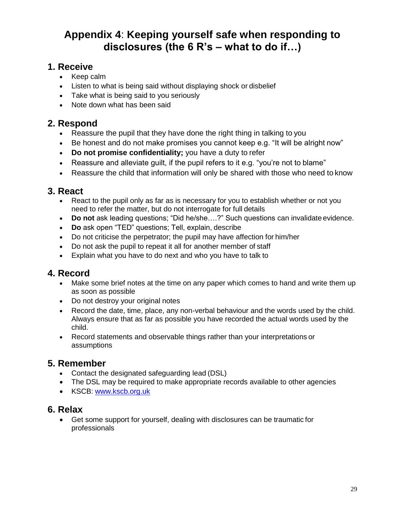## **Appendix 4**: **Keeping yourself safe when responding to disclosures (the 6 R's – what to do if…)**

#### **1. Receive**

- Keep calm
- Listen to what is being said without displaying shock or disbelief
- Take what is being said to you seriously
- Note down what has been said

## **2. Respond**

- Reassure the pupil that they have done the right thing in talking to you
- Be honest and do not make promises you cannot keep e.g. "It will be alright now"
- **Do not promise confidentiality;** you have a duty to refer
- Reassure and alleviate guilt, if the pupil refers to it e.g. "you're not to blame"
- Reassure the child that information will only be shared with those who need to know

#### **3. React**

- React to the pupil only as far as is necessary for you to establish whether or not you need to refer the matter, but do not interrogate for full details
- **Do not** ask leading questions; "Did he/she….?" Such questions can invalidate evidence.
- **Do** ask open "TED" questions; Tell, explain, describe
- Do not criticise the perpetrator; the pupil may have affection for him/her
- Do not ask the pupil to repeat it all for another member of staff
- Explain what you have to do next and who you have to talk to

### **4. Record**

- Make some brief notes at the time on any paper which comes to hand and write them up as soon as possible
- Do not destroy your original notes
- Record the date, time, place, any non-verbal behaviour and the words used by the child. Always ensure that as far as possible you have recorded the actual words used by the child.
- Record statements and observable things rather than your interpretations or assumptions

#### **5. Remember**

- Contact the designated safeguarding lead (DSL)
- The DSL may be required to make appropriate records available to other agencies
- KSCB: [www.kscb.org.uk](http://www.kscb.org.uk/)

#### **6. Relax**

 Get some support for yourself, dealing with disclosures can be traumatic for professionals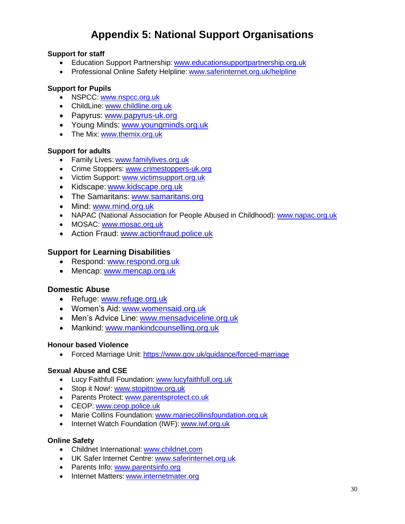## **Appendix 5: National Support Organisations**

#### **Support for staff**

- Education Support Partnership: [www.educationsupportpartnership.org.uk](http://www.educationsupportpartnership.org.uk/)
- Professional Online Safety Helpline: [www.saferinternet.org.uk/helpline](http://www.saferinternet.org.uk/helpline)

#### **Support for Pupils**

- NSPCC: [www.nspcc.org.uk](http://www.nspcc.org.uk/)
- ChildLine: [www.childline.org.uk](http://www.childline.org.uk/)
- Papyrus: [www.papyrus-uk.org](http://www.papyrus-uk.org/)
- Young Minds: [www.youngminds.org.uk](http://www.youngminds.org.uk/)
- The Mix: [www.themix.org.uk](http://www.themix.org.uk/)

#### **Support for adults**

- **Family Lives: [www.familylives.org.uk](http://www.familylives.org.uk/)**
- Crime Stoppers: [www.crimestoppers-uk.org](http://www.crimestoppers-uk.org/)
- Victim Support: [www.victimsupport.org.uk](http://www.victimsupport.org.uk/)
- Kidscape: [www.kidscape.org.uk](http://www.kidscape.org.uk/)
- The Samaritans: [www.samaritans.org](http://www.samaritans.org/)
- Mind: [www.mind.org.uk](http://www.mind.org.uk/)
- NAPAC (National Association for People Abused in Childhood): [www.napac.org.uk](http://www.napac.org.uk/)
- MOSAC: [www.mosac.org.uk](http://www.mosac.org.uk/)
- Action Fraud: [www.actionfraud.police.uk](http://www.actionfraud.police.uk/)

#### **Support for Learning Disabilities**

- Respond: [www.respond.org.uk](http://www.respond.org.uk/)
- Mencap: [www.mencap.org.uk](http://www.mencap.org.uk/)

#### **Domestic Abuse**

- Refuge: [www.refuge.org.uk](http://www.refuge.org.uk/)
- Women's Aid: [www.womensaid.org.uk](http://www.womensaid.org.uk/)
- Men's Advice Line: [www.mensadviceline.org.uk](http://www.mensadviceline.org.uk/)
- Mankind: [www.mankindcounselling.org.uk](http://www.mankindcounselling.org.uk/)

#### **Honour based Violence**

Forced Marriage Unit: <https://www.gov.uk/guidance/forced-marriage>

#### **Sexual Abuse and CSE**

- Lucy Faithfull Foundation: [www.lucyfaithfull.org.uk](http://www.lucyfaithfull.org.uk/)
- Stop it Now!: [www.stopitnow.org.uk](http://www.stopitnow.org.uk/)
- Parents Protect: [www.parentsprotect.co.uk](http://www.parentsprotect.co.uk/)
- CEOP: [www.ceop.police.uk](http://www.ceop.police.uk/)
- Marie Collins Foundation: [www.mariecollinsfoundation.org.uk](http://www.mariecollinsfoundation.org.uk/)
- Internet Watch Foundation (IWF): [www.iwf.org.uk](http://www.iwf.org.uk/)

#### **Online Safety**

- Childnet International: [www.childnet.com](http://www.childnet.com/)
- UK Safer Internet Centre: [www.saferinternet.org.uk](http://www.saferinternet.org.uk/)
- Parents Info: [www.parentsinfo.org](http://www.parentsinfo.org/)
- Internet Matters: [www.internetmater.org](http://www.internetmater.org/)